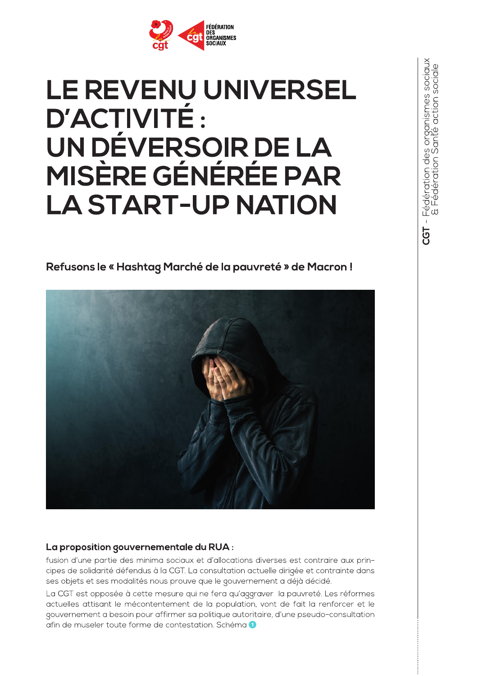

# **LE REVENU UNIVERSEL D'ACTIVITÉ:** UN DÉVERSOIR DE LA **MISÈRE GÉNÉRÉE PAR LA START-UP NATION**

Refusons le « Hashtag Marché de la pauvreté » de Macron!



### La proposition gouvernementale du RUA :

fusion d'une partie des minima sociaux et d'allocations diverses est contraire aux principes de solidarité défendus à la CGT. La consultation actuelle dirigée et contrainte dans ses objets et ses modalités nous prouve que le gouvernement a déjà décidé.

La CGT est opposée à cette mesure qui ne fera qu'aggraver la pauvreté. Les réformes actuelles attisant le mécontentement de la population, vont de fait la renforcer et le gouvernement a besoin pour affirmer sa politique autoritaire, d'une pseudo-consultation afin de museler toute forme de contestation. Schéma 1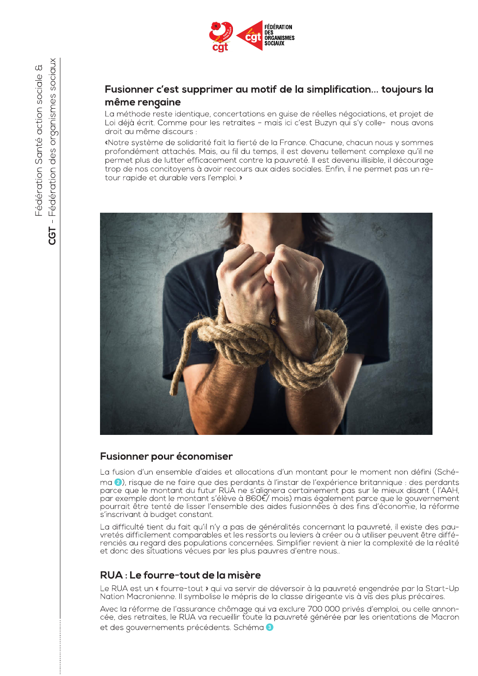

# même rengaine

La méthode reste identique, concertations en guise de réelles négociations, et projet de Loi déjà écrit. Comme pour les retraites - mais ici c'est Buzyn qui s'y colle- nous avons droit au même discours :

Archives of the **California Control of the California Control of the California Control of the California Control of the California Control of the California Control of the California Control of the California Control of t** «Notre système de solidarité fait la fierté de la France. Chacune, chacun nous y sommes profondément attachés. Mais, au fil du temps, il est devenu tellement complexe qu'il ne permet plus de lutter efficacement contre la pauvreté. Il est devenu illisible, il décourage trop de nos concitoyens à avoir recours aux aides sociales. Enfin, il ne permet pas un retour rapide et durable vers l'emploi. »



La fusion d'un ensemble d'aides et allocations d'un montant pour le moment non défini (Schéma 2), risque de ne faire que des perdants à l'instar de l'expérience britannique : des perdants parce que le montant du futur RUA ne s'alignera certainement pas sur le mieux disant (l'AAH, par exemple dont le montant s'élève à 860€/mois) mais également parce que le gouvernement pourrait être tenté de lisser l'ensemble des aides fusionnées à des fins d'économie, la réforme s'inscrivant à budget constant. ma (a), risque de ne faire que des perdants à l'instance que le montant du futur RUA ne s'alignera commente dont le montant s'élève à 860€/ mois) s'inscrivant à budget constant.<br>La difficulté tient du fait qu'il n'y a pas

La difficulté tient du fait qu'il n'y a pas de généralités concernant la pauvreté, il existe des pauvretés difficilement comparables et les ressorts ou leviers à créer ou à utiliser peuvent être différenciés au regard des populations concernées. Simplifier revient à nier la complexité de la réalité et donc des situations vécues par les plus pauvres d'entre nous...

Le RUA est un « fourre-tout » qui va servir de déversoir à la pauvreté engendrée par la Start-Up Nation Macronienne. Il symbolise le mépris de la classe dirigeante vis à vis des plus précaires.

Avec la réforme de l'assurance chômage qui va exclure 700 000 privés d'emploi, ou celle annoncée, des retraites, le RUA va recueillir toute la pauvreté générée par les orientations de Macron et des gouvernements précédents. Schéma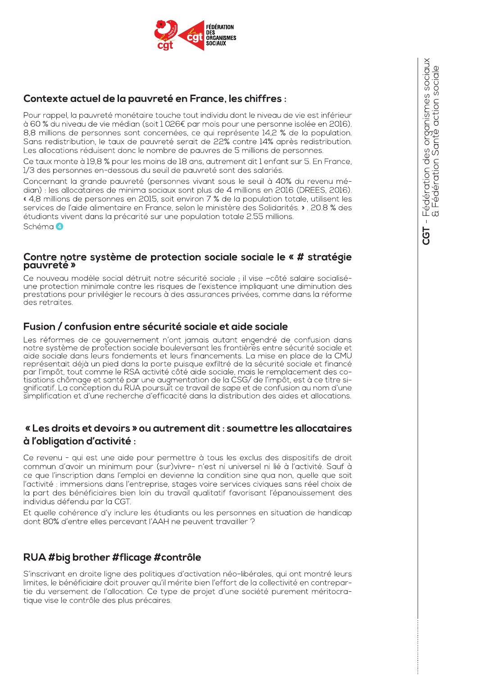

### Contexte actuel de la pauvreté en France, les chiffres :

Pour rappel, la pauvreté monétaire touche tout individu dont le niveau de vie est inférieur à 60 % du niveau de vie médian (soit 1 026€ par mois pour une personne isolée en 2016). 8.8 millions de personnes sont concernées, ce qui représente 14.2 % de la population. Sans redistribution, le taux de pauvreté serait de 22% contre 14% après redistribution. Les allocations réduisent donc le nombre de pauvres de 5 millions de personnes.

Ce taux monte à 19,8 % pour les moins de 18 ans, autrement dit 1 enfant sur 5. En France, 1/3 des personnes en-dessous du seuil de pauvreté sont des salariés.

Concernant la grande pauvreté (personnes vivant sous le seuil à 40% du revenu médian) : les allocataires de minima sociaux sont plus de 4 millions en 2016 (DREES, 2016). « 4,8 millions de personnes en 2015, soit environ 7 % de la population totale, utilisent les services de l'aide alimentaire en France, selon le ministère des Solidarités, », 20,8 % des étudiants vivent dans la précarité sur une population totale 2.55 millions. Schéma 4

#### Contre notre système de protection sociale sociale le « # stratégie pauvreté »

Ce nouveau modèle social détruit notre sécurité sociale ; il vise -côté salaire socialiséune protection minimale contre les risques de l'existence impliquant une diminution des prestations pour privilégier le recours à des assurances privées, comme dans la réforme des retraites.

#### Fusion / confusion entre sécurité sociale et aide sociale

Les réformes de ce gouvernement n'ont jamais autant engendré de confusion dans notre système de protection sociale bouleversant les frontières entre sécurité sociale et aide sociale dans leurs fondements et leurs financements. La mise en place de la CMU représentait déjà un pied dans la porte puisque exfiltré de la sécurité sociale et financé par l'impôt, tout comme le RSA activité côté aide sociale, mais le remplacement des cotisations chômage et santé par une augmentation de la CSG/ de l'impôt, est à ce titre significatif. La conception du RUA poursuit ce travail de sape et de confusion au nom d'une simplification et d'une recherche d'efficacité dans la distribution des aides et allocations.

#### « Les droits et devoirs » ou autrement dit : soumettre les allocataires à l'obligation d'activité :

Ce revenu - qui est une aide pour permettre à tous les exclus des dispositifs de droit commun d'avoir un minimum pour (sur)vivre- n'est ni universel ni lié à l'activité. Sauf à ce que l'inscription dans l'emploi en devienne la condition sine qua non, quelle que soit l'activité : immersions dans l'entreprise, stages voire services civiques sans réel choix de la part des bénéficiaires bien loin du travail qualitatif favorisant l'épanouissement des individus défendu par la CGT.

Et quelle cohérence d'y inclure les étudiants ou les personnes en situation de handicap dont 80% d'entre elles percevant l'AAH ne peuvent travailler ?

#### RUA #biq brother #flicage #contrôle

S'inscrivant en droite ligne des politiques d'activation néo-libérales, qui ont montré leurs limites, le bénéficiaire doit prouver qu'il mérite bien l'effort de la collectivité en contrepartie du versement de l'allocation. Ce type de projet d'une société purement méritocratique vise le contrôle des plus précaires.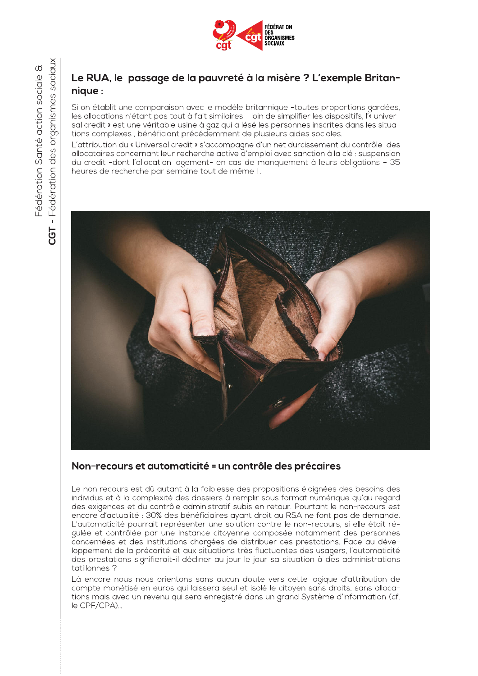

### Le RUA, le passage de la pauvreté à la misère ? L'exemple Britannique:

Si on établit une comparaison avec le modèle britannique -toutes proportions gardées, les allocations n'étant pas tout à fait similaires - loin de simplifier les dispositifs, l'« universal credit » est une véritable usine à gaz qui a lésé les personnes inscrites dans les situations complexes, bénéficiant précédemment de plusieurs aides sociales.

L'attribution du « Universal credit » s'accompagne d'un net durcissement du contrôle des allocataires concernant leur recherche active d'emploi avec sanction à la clé : suspension du credit -dont l'allocation logement- en cas de manquement à leurs obligations - 35 heures de recherche par semaine tout de même !.



### Non-recours et automaticité = un contrôle des précaires

Le non recours est dû autant à la faiblesse des propositions éloignées des besoins des individus et à la complexité des dossiers à remplir sous format numérique qu'au regard des exigences et du contrôle administratif subis en retour. Pourtant le non-recours est encore d'actualité : 30% des bénéficiaires ayant droit au RSA ne font pas de demande. L'automaticité pourrait représenter une solution contre le non-recours, si elle était régulée et contrôlée par une instance citoyenne composée notamment des personnes concernées et des institutions chargées de distribuer ces prestations. Face au développement de la précarité et aux situations très fluctuantes des usagers, l'automaticité des prestations signifierait-il décliner au jour le jour sa situation à des administrations tatillonnes?

Là encore nous nous orientons sans aucun doute vers cette logique d'attribution de compte monétisé en euros qui laissera seul et isolé le citoyen sans droits, sans allocations mais avec un revenu qui sera enregistré dans un grand Système d'information (cf. le CPF/CPA)...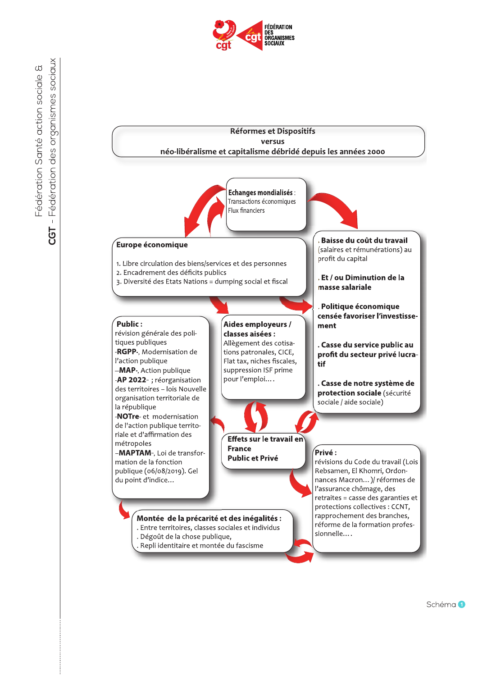

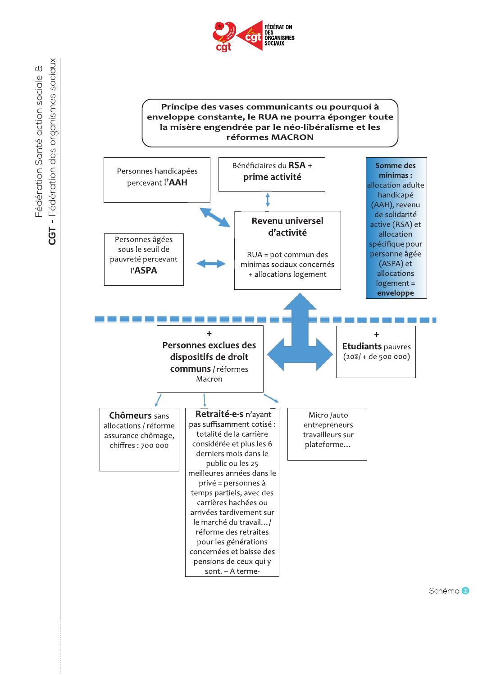

#### Principe des vases communicants ou pourquoi à enveloppe constante, le RUA ne pourra éponger toute la misère engendrée par le néo-libéralisme et les réformes MACRON



Fédération des organismes sociaux Fédération Santé action sociale &  $\bar{1}$ CGT

Schéma<sup>2</sup>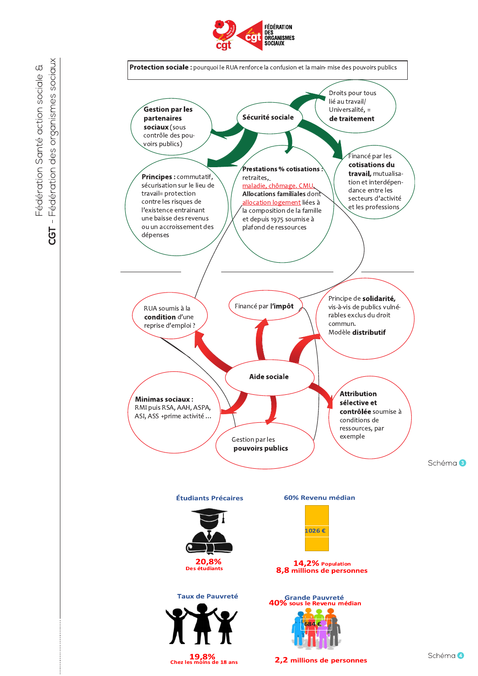